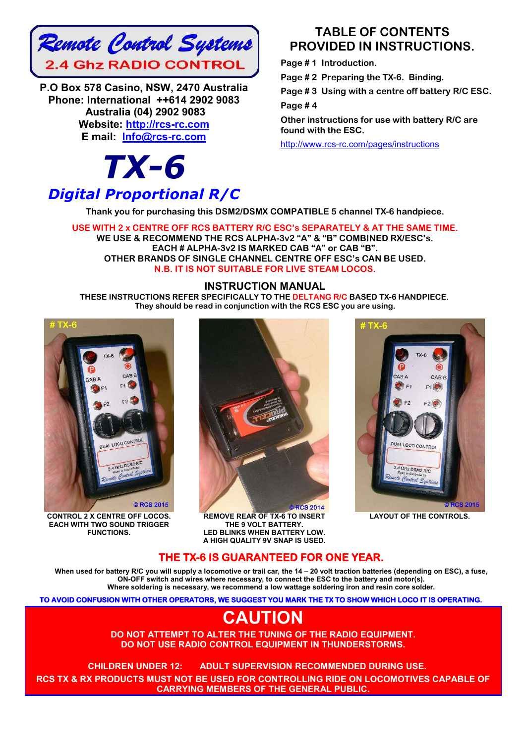

**P.O Box 578 Casino, NSW, 2470 Australia Phone: International ++614 2902 9083 Australia (04) 2902 9083 Website: http://rcs-rc.com E mail: Info@rcs-rc.com**

# *TX-6*

# *Digital Proportional R/C*

# **TABLE OF CONTENTS PROVIDED IN INSTRUCTIONS.**

**Page # 1 Introduction.**

**Page # 2 Preparing the TX-6. Binding.**

**Page # 3 Using with a centre off battery R/C ESC. Page # 4** 

**Other instructions for use with battery R/C are found with the ESC.**

http://www.rcs-rc.com/pages/instructions

**Thank you for purchasing this DSM2/DSMX COMPATIBLE 5 channel TX-6 handpiece.** 

**USE WITH 2 x CENTRE OFF RCS BATTERY R/C ESC's SEPARATELY & AT THE SAME TIME. WE USE & RECOMMEND THE RCS ALPHA-3v2 "A" & "B" COMBINED RX/ESC's. EACH # ALPHA-3v2 IS MARKED CAB "A" or CAB "B". OTHER BRANDS OF SINGLE CHANNEL CENTRE OFF ESC's CAN BE USED. N.B. IT IS NOT SUITABLE FOR LIVE STEAM LOCOS.**

## **INSTRUCTION MANUAL**

**THESE INSTRUCTIONS REFER SPECIFICALLY TO THE DELTANG R/C BASED TX-6 HANDPIECE. They should be read in conjunction with the RCS ESC you are using.**



**CONTROL 2 X CENTRE OFF LOCOS. EACH WITH TWO SOUND TRIGGER FUNCTIONS.**



**REMOVE REAR OF TX-6 TO INSERT THE 9 VOLT BATTERY. LED BLINKS WHEN BATTERY LOW. A HIGH QUALITY 9V SNAP IS USED.**



**LAYOUT OF THE CONTROLS.**

# **THE TX-6 IS GUARANTEED FOR ONE YEAR.**

**When used for battery R/C you will supply a locomotive or trail car, the 14 – 20 volt traction batteries (depending on ESC), a fuse, ON-OFF switch and wires where necessary, to connect the ESC to the battery and motor(s). Where soldering is necessary, we recommend a low wattage soldering iron and resin core solder.**

**TO AVOID CONFUSION WITH OTHER OPERATORS, WE SUGGEST YOU MARK THE TX TO SHOW WHICH LOCO IT IS OPERATING.** 

# **CAUTION**

**DO NOT ATTEMPT TO ALTER THE TUNING OF THE RADIO EQUIPMENT. DO NOT USE RADIO CONTROL EQUIPMENT IN THUNDERSTORMS.**

**CHILDREN UNDER 12: ADULT SUPERVISION RECOMMENDED DURING USE.**!! **RCS TX & RX PRODUCTS MUST NOT BE USED FOR CONTROLLING RIDE ON LOCOMOTIVES CAPABLE OF CARRYING MEMBERS OF THE GENERAL PUBLIC.**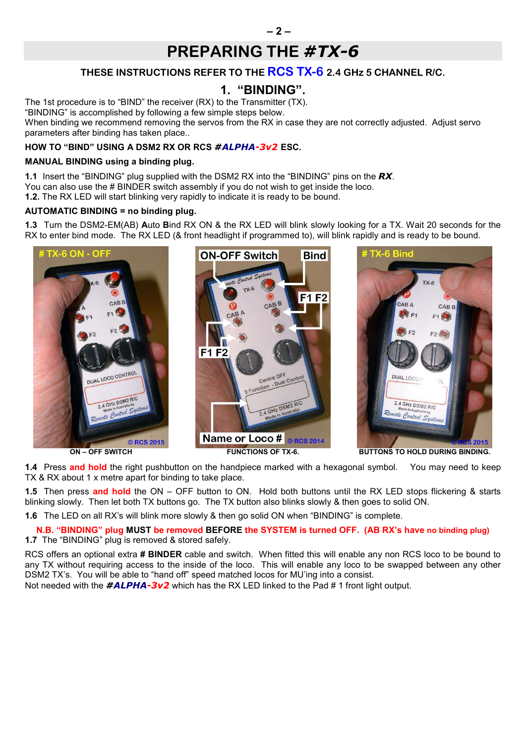# **PREPARING THE** *#TX-6*

# **THESE INSTRUCTIONS REFER TO THE RCS TX-6 2.4 GHz 5 CHANNEL R/C.**

# **1. "BINDING".**

The 1st procedure is to "BIND" the receiver (RX) to the Transmitter (TX).

"BINDING" is accomplished by following a few simple steps below.

When binding we recommend removing the servos from the RX in case they are not correctly adjusted. Adjust servo parameters after binding has taken place..

## **HOW TO "BIND" USING A DSM2 RX OR RCS** *#ALPHA-3v2* **ESC.**

## **MANUAL BINDING using a binding plug.**

**1.1** Insert the "BINDING" plug supplied with the DSM2 RX into the "BINDING" pins on the *RX*.

You can also use the # BINDER switch assembly if you do not wish to get inside the loco.

**1.2.** The RX LED will start blinking very rapidly to indicate it is ready to be bound.

## **AUTOMATIC BINDING = no binding plug.**

**1.3** Turn the DSM2-EM(AB) **A**uto **B**ind RX ON & the RX LED will blink slowly looking for a TX. Wait 20 seconds for the RX to enter bind mode. The RX LED (& front headlight if programmed to), will blink rapidly and is ready to be bound.



**1.4** Press **and hold** the right pushbutton on the handpiece marked with a hexagonal symbol. You may need to keep TX & RX about 1 x metre apart for binding to take place.

**1.5** Then press **and hold** the ON – OFF button to ON. Hold both buttons until the RX LED stops flickering & starts blinking slowly. Then let both TX buttons go. The TX button also blinks slowly & then goes to solid ON.

**1.6** The LED on all RX's will blink more slowly & then go solid ON when "BINDING" is complete.

**N.B. "BINDING" plug MUST be removed BEFORE the SYSTEM is turned OFF. (AB RX's have no binding plug) 1.7** The "BINDING" plug is removed & stored safely.

RCS offers an optional extra **# BINDER** cable and switch. When fitted this will enable any non RCS loco to be bound to any TX without requiring access to the inside of the loco. This will enable any loco to be swapped between any other DSM2 TX's. You will be able to "hand off" speed matched locos for MU'ing into a consist.

Not needed with the **#ALPHA-3v2** which has the RX LED linked to the Pad #1 front light output.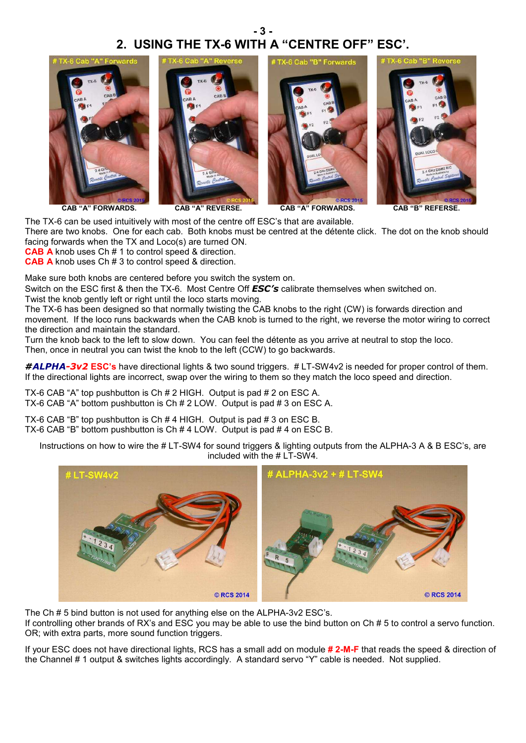# **- 3 - 2. USING THE TX-6 WITH A "CENTRE OFF" ESC'.**



The TX-6 can be used intuitively with most of the centre off ESC's that are available.

There are two knobs. One for each cab. Both knobs must be centred at the détente click. The dot on the knob should facing forwards when the TX and Loco(s) are turned ON.

**CAB A** knob uses Ch # 1 to control speed & direction.

**CAB A** knob uses Ch # 3 to control speed & direction.

Make sure both knobs are centered before you switch the system on.

Switch on the ESC first & then the TX-6. Most Centre Off *ESC's* calibrate themselves when switched on.

Twist the knob gently left or right until the loco starts moving.

The TX-6 has been designed so that normally twisting the CAB knobs to the right (CW) is forwards direction and movement. If the loco runs backwards when the CAB knob is turned to the right, we reverse the motor wiring to correct the direction and maintain the standard.

Turn the knob back to the left to slow down. You can feel the détente as you arrive at neutral to stop the loco. Then, once in neutral you can twist the knob to the left (CCW) to go backwards.

*#ALPHA-3v2* **ESC's** have directional lights & two sound triggers. # LT-SW4v2 is needed for proper control of them. If the directional lights are incorrect, swap over the wiring to them so they match the loco speed and direction.

TX-6 CAB "A" top pushbutton is Ch # 2 HIGH. Output is pad # 2 on ESC A. TX-6 CAB "A" bottom pushbutton is Ch # 2 LOW. Output is pad # 3 on ESC A.

TX-6 CAB "B" top pushbutton is Ch # 4 HIGH. Output is pad # 3 on ESC B. TX-6 CAB "B" bottom pushbutton is Ch # 4 LOW. Output is pad # 4 on ESC B.

**ALPHA-3v2 + # LT-SW4** LT-SW4v2 © RCS 2014 © RCS 2014

Instructions on how to wire the # LT-SW4 for sound triggers & lighting outputs from the ALPHA-3 A & B ESC's, are included with the # LT-SW4.

The Ch # 5 bind button is not used for anything else on the ALPHA-3v2 ESC's. If controlling other brands of RX's and ESC you may be able to use the bind button on Ch # 5 to control a servo function. OR; with extra parts, more sound function triggers.

If your ESC does not have directional lights, RCS has a small add on module **# 2-M-F** that reads the speed & direction of the Channel # 1 output & switches lights accordingly. A standard servo "Y" cable is needed. Not supplied.